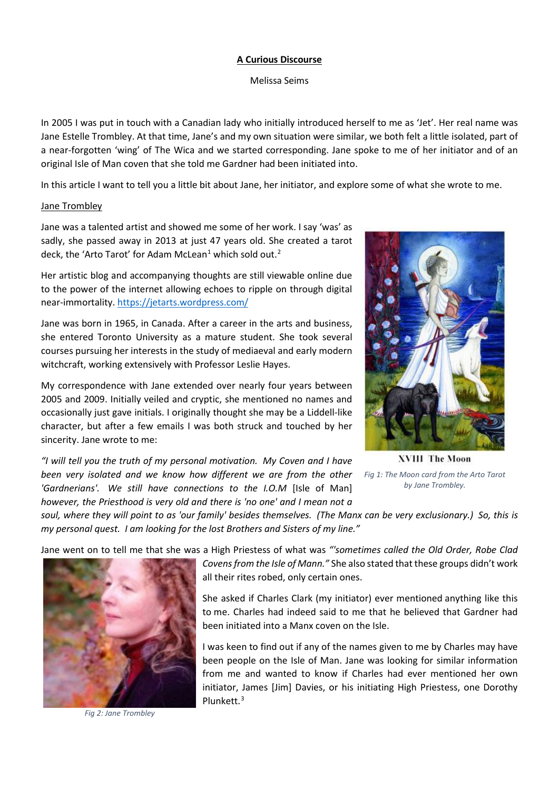#### **A Curious Discourse**

Melissa Seims

In 2005 I was put in touch with a Canadian lady who initially introduced herself to me as 'Jet'. Her real name was Jane Estelle Trombley. At that time, Jane's and my own situation were similar, we both felt a little isolated, part of a near-forgotten 'wing' of The Wica and we started corresponding. Jane spoke to me of her initiator and of an original Isle of Man coven that she told me Gardner had been initiated into.

In this article I want to tell you a little bit about Jane, her initiator, and explore some of what she wrote to me.

#### Jane Trombley

Jane was a talented artist and showed me some of her work. I say 'was' as sadly, she passed away in 2013 at just 47 years old. She created a tarot deck, the 'Arto Tarot' for Adam McLean<sup>[1](#page-8-0)</sup> which sold out.<sup>[2](#page-8-1)</sup>

Her artistic blog and accompanying thoughts are still viewable online due to the power of the internet allowing echoes to ripple on through digital near-immortality.<https://jetarts.wordpress.com/>

Jane was born in 1965, in Canada. After a career in the arts and business, she entered Toronto University as a mature student. She took several courses pursuing her interests in the study of mediaeval and early modern witchcraft, working extensively with Professor Leslie Hayes.

My correspondence with Jane extended over nearly four years between 2005 and 2009. Initially veiled and cryptic, she mentioned no names and occasionally just gave initials. I originally thought she may be a Liddell-like character, but after a few emails I was both struck and touched by her sincerity. Jane wrote to me:

*"I will tell you the truth of my personal motivation. My Coven and I have been very isolated and we know how different we are from the other Fig 1: The Moon card from the Arto Tarot 'Gardnerians'. We still have connections to the I.O.M* [Isle of Man] *however, the Priesthood is very old and there is 'no one' and I mean not a* 



**XVIII The Moon** *by Jane Trombley.*

*soul, where they will point to as 'our family' besides themselves. (The Manx can be very exclusionary.) So, this is my personal quest. I am looking for the lost Brothers and Sisters of my line."*

Jane went on to tell me that she was a High Priestess of what was *"'sometimes called the Old Order, Robe Clad* 



*Fig 2: Jane Trombley*

*Covens from the Isle of Mann."* She also stated that these groups didn't work all their rites robed, only certain ones.

She asked if Charles Clark (my initiator) ever mentioned anything like this to me. Charles had indeed said to me that he believed that Gardner had been initiated into a Manx coven on the Isle.

I was keen to find out if any of the names given to me by Charles may have been people on the Isle of Man. Jane was looking for similar information from me and wanted to know if Charles had ever mentioned her own initiator, James [Jim] Davies, or his initiating High Priestess, one Dorothy Plunkett.[3](#page-8-2)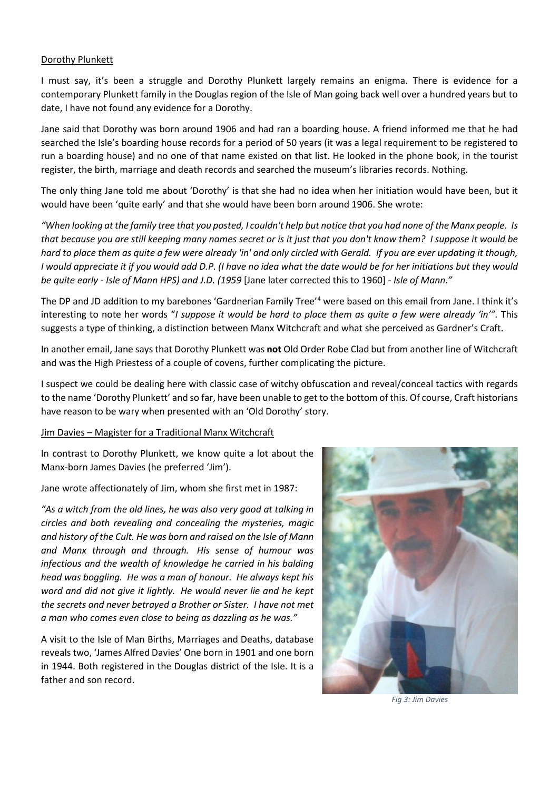#### Dorothy Plunkett

I must say, it's been a struggle and Dorothy Plunkett largely remains an enigma. There is evidence for a contemporary Plunkett family in the Douglas region of the Isle of Man going back well over a hundred years but to date, I have not found any evidence for a Dorothy.

Jane said that Dorothy was born around 1906 and had ran a boarding house. A friend informed me that he had searched the Isle's boarding house records for a period of 50 years (it was a legal requirement to be registered to run a boarding house) and no one of that name existed on that list. He looked in the phone book, in the tourist register, the birth, marriage and death records and searched the museum's libraries records. Nothing.

The only thing Jane told me about 'Dorothy' is that she had no idea when her initiation would have been, but it would have been 'quite early' and that she would have been born around 1906. She wrote:

*"When looking at the family tree that you posted, I couldn't help but notice that you had none of the Manx people. Is that because you are still keeping many names secret or is it just that you don't know them? I suppose it would be hard to place them as quite a few were already 'in' and only circled with Gerald. If you are ever updating it though, I would appreciate it if you would add D.P. (I have no idea what the date would be for her initiations but they would be quite early - Isle of Mann HPS) and J.D. (1959* [Jane later corrected this to 1960] *- Isle of Mann."*

The DP and JD addition to my barebones 'Gardnerian Family Tree'[4](#page-8-3) were based on this email from Jane. I think it's interesting to note her words "*I suppose it would be hard to place them as quite a few were already 'in'".* This suggests a type of thinking, a distinction between Manx Witchcraft and what she perceived as Gardner's Craft.

In another email, Jane says that Dorothy Plunkett was **not** Old Order Robe Clad but from another line of Witchcraft and was the High Priestess of a couple of covens, further complicating the picture.

I suspect we could be dealing here with classic case of witchy obfuscation and reveal/conceal tactics with regards to the name 'Dorothy Plunkett' and so far, have been unable to get to the bottom of this. Of course, Craft historians have reason to be wary when presented with an 'Old Dorothy' story.

#### Jim Davies – Magister for a Traditional Manx Witchcraft

In contrast to Dorothy Plunkett, we know quite a lot about the Manx-born James Davies (he preferred 'Jim').

Jane wrote affectionately of Jim, whom she first met in 1987:

*"As a witch from the old lines, he was also very good at talking in circles and both revealing and concealing the mysteries, magic and history of the Cult. He was born and raised on the Isle of Mann and Manx through and through. His sense of humour was infectious and the wealth of knowledge he carried in his balding head was boggling. He was a man of honour. He always kept his word and did not give it lightly. He would never lie and he kept the secrets and never betrayed a Brother or Sister. I have not met a man who comes even close to being as dazzling as he was."*

A visit to the Isle of Man Births, Marriages and Deaths, database reveals two, 'James Alfred Davies' One born in 1901 and one born in 1944. Both registered in the Douglas district of the Isle. It is a father and son record.



*Fig 3: Jim Davies*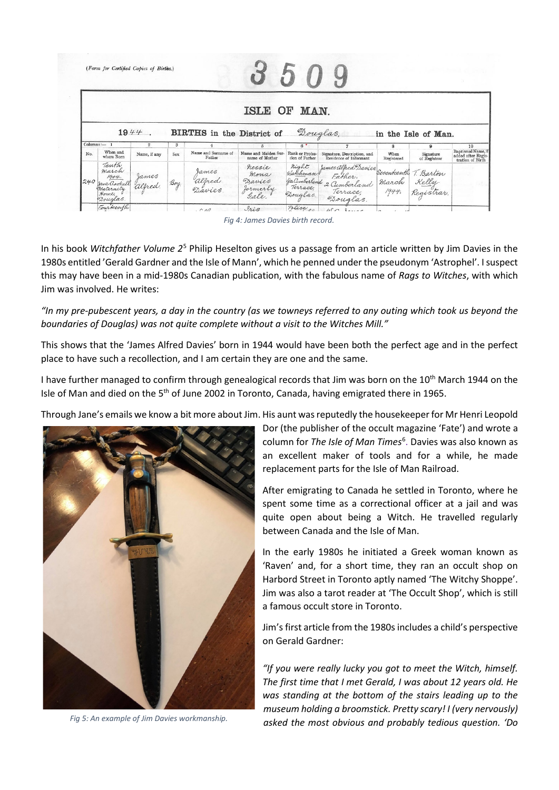|     | (Form for Certified Copies of Births.)                                    |                  |             |                                  |                                        |                                                            |                                                                                                                             |                    |                           |                                                              |
|-----|---------------------------------------------------------------------------|------------------|-------------|----------------------------------|----------------------------------------|------------------------------------------------------------|-----------------------------------------------------------------------------------------------------------------------------|--------------------|---------------------------|--------------------------------------------------------------|
|     |                                                                           | $1944$ .         |             | <b>BIRTHS</b> in the District of | ISLE OF MAN.                           |                                                            | Douglas,                                                                                                                    |                    | in the Isle of Man.       |                                                              |
|     | $Columns: - 1$                                                            | $\overline{2}$   | 3           | 4                                | $\overline{5}$                         | 6 <sup>o</sup>                                             | $7\overline{ }$                                                                                                             | 8                  | 9                         | 10                                                           |
| No. | When and<br>where Born                                                    | Name, if any     | Sex         | Name and Surname of<br>Father    | Name and Maiden Sur-<br>name of Mother | Rank or Profes-<br>sion of Father                          | Signature, Description, and<br>Residence of Informant                                                                       | When<br>Registered | Signature<br>of Registrar | Baptismal Name, if<br>added after Regis-<br>tration of Birth |
| 240 | Tenth<br>march<br>1944.<br>Jane Gookall<br>Maternity<br>Home,<br>Douglas. | James<br>alfred. | $\beta$ oy. | James<br>alfred<br>Davies        | nessie<br>Mona<br>Davies<br>Jormerly   | night<br>Wakhman!<br>22 Cumberland<br>Terrace,<br>Douglas. | James alfred Davies<br>In tather,<br>Land 2 Cumberland March Kelly<br>ee, Terrace, 1944. Registrar,<br>Terrace,<br>Douglas. |                    |                           |                                                              |
|     | Fourteenth                                                                |                  |             |                                  | 9.10                                   | Police.                                                    | $\sqrt{2}$                                                                                                                  |                    |                           |                                                              |

*Fig 4: James Davies birth record.*

In his book *Witchfather Volume 2*[5](#page-8-4) Philip Heselton gives us a passage from an article written by Jim Davies in the 1980s entitled 'Gerald Gardner and the Isle of Mann', which he penned under the pseudonym 'Astrophel'. I suspect this may have been in a mid-1980s Canadian publication, with the fabulous name of *Rags to Witches*, with which Jim was involved. He writes:

*"In my pre-pubescent years, a day in the country (as we towneys referred to any outing which took us beyond the boundaries of Douglas) was not quite complete without a visit to the Witches Mill."*

This shows that the 'James Alfred Davies' born in 1944 would have been both the perfect age and in the perfect place to have such a recollection, and I am certain they are one and the same.

I have further managed to confirm through genealogical records that Jim was born on the 10<sup>th</sup> March 1944 on the Isle of Man and died on the 5<sup>th</sup> of June 2002 in Toronto, Canada, having emigrated there in 1965.

Through Jane's emails we know a bit more about Jim. His aunt was reputedly the housekeeper for Mr Henri Leopold



*Fig 5: An example of Jim Davies workmanship.*

Dor (the publisher of the occult magazine 'Fate') and wrote a column for *The Isle of Man Times<sup>[6](#page-8-5)</sup>*. Davies was also known as an excellent maker of tools and for a while, he made replacement parts for the Isle of Man Railroad.

After emigrating to Canada he settled in Toronto, where he spent some time as a correctional officer at a jail and was quite open about being a Witch. He travelled regularly between Canada and the Isle of Man.

In the early 1980s he initiated a Greek woman known as 'Raven' and, for a short time, they ran an occult shop on Harbord Street in Toronto aptly named 'The Witchy Shoppe'. Jim was also a tarot reader at 'The Occult Shop', which is still a famous occult store in Toronto.

Jim's first article from the 1980s includes a child's perspective on Gerald Gardner:

*"If you were really lucky you got to meet the Witch, himself. The first time that I met Gerald, I was about 12 years old. He was standing at the bottom of the stairs leading up to the museum holding a broomstick. Pretty scary! I (very nervously) asked the most obvious and probably tedious question. 'Do*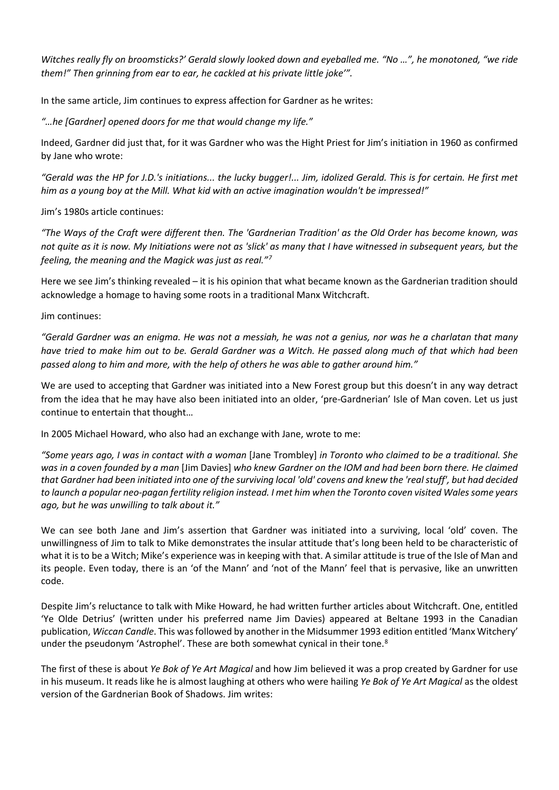*Witches really fly on broomsticks?' Gerald slowly looked down and eyeballed me. "No …", he monotoned, "we ride them!" Then grinning from ear to ear, he cackled at his private little joke'".*

In the same article, Jim continues to express affection for Gardner as he writes:

*"…he [Gardner] opened doors for me that would change my life."*

Indeed, Gardner did just that, for it was Gardner who was the Hight Priest for Jim's initiation in 1960 as confirmed by Jane who wrote:

*"Gerald was the HP for J.D.'s initiations... the lucky bugger!... Jim, idolized Gerald. This is for certain. He first met him as a young boy at the Mill. What kid with an active imagination wouldn't be impressed!"*

Jim's 1980s article continues:

*"The Ways of the Craft were different then. The 'Gardnerian Tradition' as the Old Order has become known, was not quite as it is now. My Initiations were not as 'slick' as many that I have witnessed in subsequent years, but the feeling, the meaning and the Magick was just as real."[7](#page-8-6)*

Here we see Jim's thinking revealed – it is his opinion that what became known as the Gardnerian tradition should acknowledge a homage to having some roots in a traditional Manx Witchcraft.

Jim continues:

*"Gerald Gardner was an enigma. He was not a messiah, he was not a genius, nor was he a charlatan that many have tried to make him out to be. Gerald Gardner was a Witch. He passed along much of that which had been passed along to him and more, with the help of others he was able to gather around him."*

We are used to accepting that Gardner was initiated into a New Forest group but this doesn't in any way detract from the idea that he may have also been initiated into an older, 'pre-Gardnerian' Isle of Man coven. Let us just continue to entertain that thought…

In 2005 Michael Howard, who also had an exchange with Jane, wrote to me:

*"Some years ago, I was in contact with a woman* [Jane Trombley] *in Toronto who claimed to be a traditional. She was in a coven founded by a man* [Jim Davies] *who knew Gardner on the IOM and had been born there. He claimed that Gardner had been initiated into one of the surviving local 'old' covens and knew the 'real stuff', but had decided to launch a popular neo-pagan fertility religion instead. I met him when the Toronto coven visited Wales some years ago, but he was unwilling to talk about it."*

We can see both Jane and Jim's assertion that Gardner was initiated into a surviving, local 'old' coven. The unwillingness of Jim to talk to Mike demonstrates the insular attitude that's long been held to be characteristic of what it is to be a Witch; Mike's experience was in keeping with that. A similar attitude is true of the Isle of Man and its people. Even today, there is an 'of the Mann' and 'not of the Mann' feel that is pervasive, like an unwritten code.

Despite Jim's reluctance to talk with Mike Howard, he had written further articles about Witchcraft. One, entitled 'Ye Olde Detrius' (written under his preferred name Jim Davies) appeared at Beltane 1993 in the Canadian publication, *Wiccan Candle*. This wasfollowed by another in the Midsummer 1993 edition entitled 'Manx Witchery' under the pseudonym 'Astrophel'. These are both somewhat cynical in their tone.<sup>[8](#page-8-7)</sup>

The first of these is about *Ye Bok of Ye Art Magical* and how Jim believed it was a prop created by Gardner for use in his museum. It reads like he is almost laughing at others who were hailing *Ye Bok of Ye Art Magical* as the oldest version of the Gardnerian Book of Shadows. Jim writes: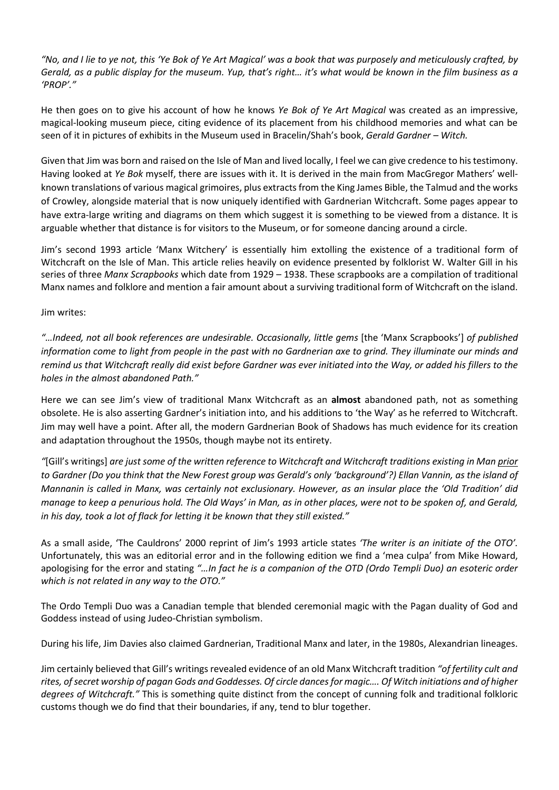*"No, and I lie to ye not, this 'Ye Bok of Ye Art Magical' was a book that was purposely and meticulously crafted, by Gerald, as a public display for the museum. Yup, that's right… it's what would be known in the film business as a 'PROP'."*

He then goes on to give his account of how he knows *Ye Bok of Ye Art Magical* was created as an impressive, magical-looking museum piece, citing evidence of its placement from his childhood memories and what can be seen of it in pictures of exhibits in the Museum used in Bracelin/Shah's book, *Gerald Gardner – Witch.*

Given that Jim was born and raised on the Isle of Man and lived locally, I feel we can give credence to his testimony. Having looked at *Ye Bok* myself, there are issues with it. It is derived in the main from MacGregor Mathers' wellknown translations of various magical grimoires, plus extracts from the King James Bible, the Talmud and the works of Crowley, alongside material that is now uniquely identified with Gardnerian Witchcraft. Some pages appear to have extra-large writing and diagrams on them which suggest it is something to be viewed from a distance. It is arguable whether that distance is for visitors to the Museum, or for someone dancing around a circle.

Jim's second 1993 article 'Manx Witchery' is essentially him extolling the existence of a traditional form of Witchcraft on the Isle of Man. This article relies heavily on evidence presented by folklorist W. Walter Gill in his series of three *Manx Scrapbooks* which date from 1929 – 1938. These scrapbooks are a compilation of traditional Manx names and folklore and mention a fair amount about a surviving traditional form of Witchcraft on the island.

## Jim writes:

*"…Indeed, not all book references are undesirable. Occasionally, little gems* [the 'Manx Scrapbooks'] *of published*  information come to light from people in the past with no Gardnerian axe to grind. They illuminate our minds and *remind us that Witchcraft really did exist before Gardner was ever initiated into the Way, or added his fillers to the holes in the almost abandoned Path."*

Here we can see Jim's view of traditional Manx Witchcraft as an **almost** abandoned path, not as something obsolete. He is also asserting Gardner's initiation into, and his additions to 'the Way' as he referred to Witchcraft. Jim may well have a point. After all, the modern Gardnerian Book of Shadows has much evidence for its creation and adaptation throughout the 1950s, though maybe not its entirety.

*"*[Gill's writings] *are just some of the written reference to Witchcraft and Witchcraft traditions existing in Man prior to Gardner (Do you think that the New Forest group was Gerald's only 'background'?) Ellan Vannin, as the island of Mannanin is called in Manx, was certainly not exclusionary. However, as an insular place the 'Old Tradition' did manage to keep a penurious hold. The Old Ways' in Man, as in other places, were not to be spoken of, and Gerald, in his day, took a lot of flack for letting it be known that they still existed."*

As a small aside, 'The Cauldrons' 2000 reprint of Jim's 1993 article states *'The writer is an initiate of the OTO'.* Unfortunately, this was an editorial error and in the following edition we find a 'mea culpa' from Mike Howard, apologising for the error and stating *"…In fact he is a companion of the OTD (Ordo Templi Duo) an esoteric order which is not related in any way to the OTO."*

The Ordo Templi Duo was a Canadian temple that blended ceremonial magic with the Pagan duality of God and Goddess instead of using Judeo-Christian symbolism.

During his life, Jim Davies also claimed Gardnerian, Traditional Manx and later, in the 1980s, Alexandrian lineages.

Jim certainly believed that Gill's writings revealed evidence of an old Manx Witchcraft tradition *"of fertility cult and rites, of secret worship of pagan Gods and Goddesses. Of circle dances for magic…. Of Witch initiations and of higher degrees of Witchcraft."* This is something quite distinct from the concept of cunning folk and traditional folkloric customs though we do find that their boundaries, if any, tend to blur together.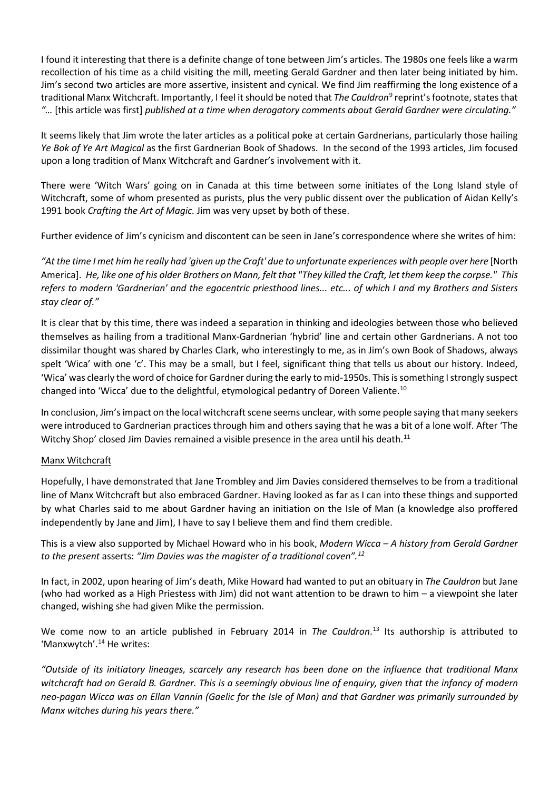I found it interesting that there is a definite change of tone between Jim's articles. The 1980s one feels like a warm recollection of his time as a child visiting the mill, meeting Gerald Gardner and then later being initiated by him. Jim's second two articles are more assertive, insistent and cynical. We find Jim reaffirming the long existence of a traditional Manx Witchcraft. Importantly, I feel it should be noted that *The Cauldron*[9](#page-8-8) reprint's footnote, statesthat *"…* [this article was first] *published at a time when derogatory comments about Gerald Gardner were circulating."*

It seems likely that Jim wrote the later articles as a political poke at certain Gardnerians, particularly those hailing *Ye Bok of Ye Art Magical* as the first Gardnerian Book of Shadows. In the second of the 1993 articles, Jim focused upon a long tradition of Manx Witchcraft and Gardner's involvement with it.

There were 'Witch Wars' going on in Canada at this time between some initiates of the Long Island style of Witchcraft, some of whom presented as purists, plus the very public dissent over the publication of Aidan Kelly's 1991 book *Crafting the Art of Magic.* Jim was very upset by both of these.

Further evidence of Jim's cynicism and discontent can be seen in Jane's correspondence where she writes of him:

*"At the time I met him he really had 'given up the Craft' due to unfortunate experiences with people over here* [North America]. *He, like one of his older Brothers on Mann, felt that "They killed the Craft, let them keep the corpse." This refers to modern 'Gardnerian' and the egocentric priesthood lines... etc... of which I and my Brothers and Sisters stay clear of."*

It is clear that by this time, there was indeed a separation in thinking and ideologies between those who believed themselves as hailing from a traditional Manx-Gardnerian 'hybrid' line and certain other Gardnerians. A not too dissimilar thought was shared by Charles Clark, who interestingly to me, as in Jim's own Book of Shadows, always spelt 'Wica' with one 'c'. This may be a small, but I feel, significant thing that tells us about our history. Indeed, 'Wica' was clearly the word of choice for Gardner during the early to mid-1950s. This is something I strongly suspect changed into 'Wicca' due to the delightful, etymological pedantry of Doreen Valiente.<sup>[10](#page-8-9)</sup>

In conclusion, Jim's impact on the local witchcraft scene seems unclear, with some people saying that many seekers were introduced to Gardnerian practices through him and others saying that he was a bit of a lone wolf. After 'The Witchy Shop' closed Jim Davies remained a visible presence in the area until his death.<sup>[11](#page-8-10)</sup>

# Manx Witchcraft

Hopefully, I have demonstrated that Jane Trombley and Jim Davies considered themselves to be from a traditional line of Manx Witchcraft but also embraced Gardner. Having looked as far as I can into these things and supported by what Charles said to me about Gardner having an initiation on the Isle of Man (a knowledge also proffered independently by Jane and Jim), I have to say I believe them and find them credible.

This is a view also supported by Michael Howard who in his book, *Modern Wicca – A history from Gerald Gardner to the present* asserts: *"Jim Davies was the magister of a traditional coven". [12](#page-8-11)*

In fact, in 2002, upon hearing of Jim's death, Mike Howard had wanted to put an obituary in *The Cauldron* but Jane (who had worked as a High Priestess with Jim) did not want attention to be drawn to him – a viewpoint she later changed, wishing she had given Mike the permission.

We come now to an article published in February 2014 in *The Cauldron*. [13](#page-8-12) Its authorship is attributed to 'Manxwytch'.<sup>[14](#page-8-13)</sup> He writes:

*"Outside of its initiatory lineages, scarcely any research has been done on the influence that traditional Manx witchcraft had on Gerald B. Gardner. This is a seemingly obvious line of enquiry, given that the infancy of modern neo-pagan Wicca was on Ellan Vannin (Gaelic for the Isle of Man) and that Gardner was primarily surrounded by Manx witches during his years there."*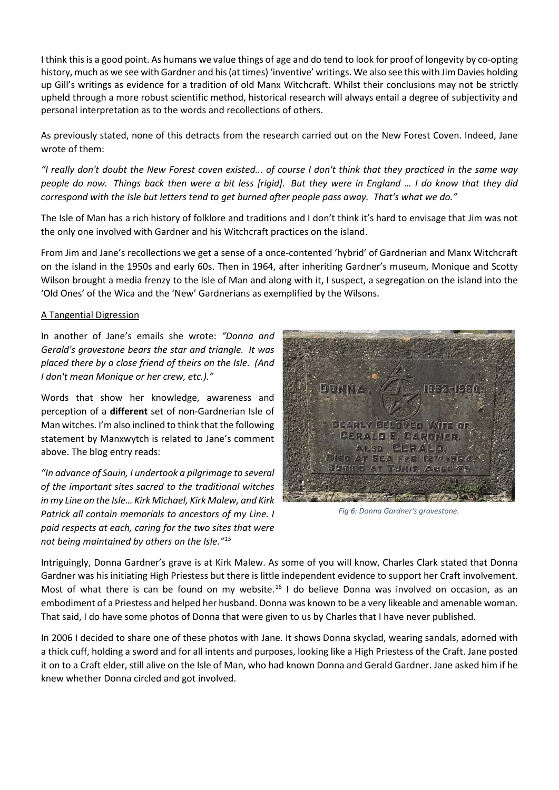I think this is a good point. As humans we value things of age and do tend to look for proof of longevity by co-opting history, much as we see with Gardner and his (at times) 'inventive' writings. We also see this with Jim Davies holding up Gill's writings as evidence for a tradition of old Manx Witchcraft. Whilst their conclusions may not be strictly upheld through a more robust scientific method, historical research will always entail a degree of subjectivity and personal interpretation as to the words and recollections of others.

As previously stated, none of this detracts from the research carried out on the New Forest Coven. Indeed, Jane wrote of them:

*"I really don't doubt the New Forest coven existed... of course I don't think that they practiced in the same way people do now. Things back then were a bit less [rigid]. But they were in England … I do know that they did correspond with the Isle but letters tend to get burned after people pass away. That's what we do."*

The Isle of Man has a rich history of folklore and traditions and I don't think it's hard to envisage that Jim was not the only one involved with Gardner and his Witchcraft practices on the island.

From Jim and Jane's recollections we get a sense of a once-contented 'hybrid' of Gardnerian and Manx Witchcraft on the island in the 1950s and early 60s. Then in 1964, after inheriting Gardner's museum, Monique and Scotty Wilson brought a media frenzy to the Isle of Man and along with it, I suspect, a segregation on the island into the 'Old Ones' of the Wica and the 'New' Gardnerians as exemplified by the Wilsons.

## A Tangential Digression

In another of Jane's emails she wrote: *"Donna and Gerald's gravestone bears the star and triangle. It was placed there by a close friend of theirs on the Isle. (And I don't mean Monique or her crew, etc.)."*

Words that show her knowledge, awareness and perception of a **different** set of non-Gardnerian Isle of Man witches. I'm also inclined to think that the following statement by Manxwytch is related to Jane's comment above. The blog entry reads:

*"In advance of Sauin, I undertook a pilgrimage to several of the important sites sacred to the traditional witches*  in my Line on the *Isle... Kirk Michael, Kirk Malew, and Kirk Patrick all contain memorials to ancestors of my Line. I paid respects at each, caring for the two sites that were not being maintained by others on the Isle."[15](#page-8-14)*



*Fig 6: Donna Gardner's gravestone.*

Intriguingly, Donna Gardner's grave is at Kirk Malew. As some of you will know, Charles Clark stated that Donna Gardner was his initiating High Priestess but there is little independent evidence to support her Craft involvement. Most of what there is can be found on my website.<sup>[16](#page-8-15)</sup> I do believe Donna was involved on occasion, as an embodiment of a Priestess and helped her husband. Donna was known to be a very likeable and amenable woman. That said, I do have some photos of Donna that were given to us by Charles that I have never published.

In 2006 I decided to share one of these photos with Jane. It shows Donna skyclad, wearing sandals, adorned with a thick cuff, holding a sword and for all intents and purposes, looking like a High Priestess of the Craft. Jane posted it on to a Craft elder, still alive on the Isle of Man, who had known Donna and Gerald Gardner. Jane asked him if he knew whether Donna circled and got involved.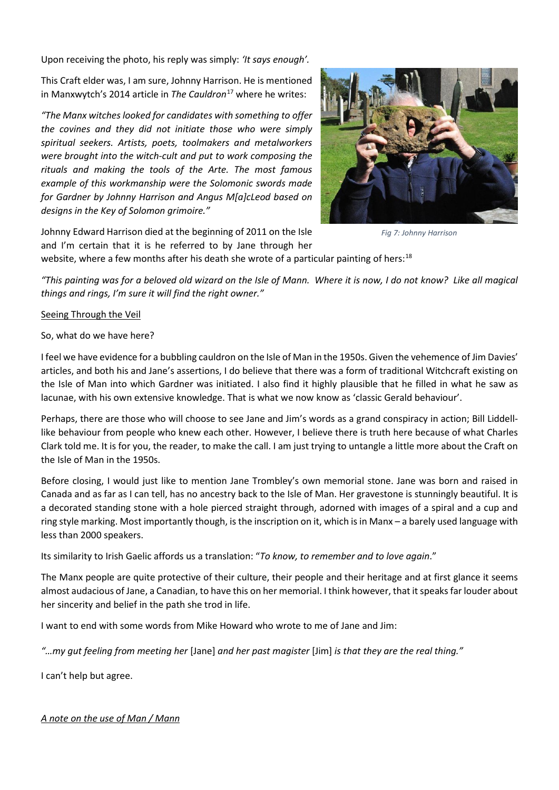Upon receiving the photo, his reply was simply: *'It says enough'.*

This Craft elder was, I am sure, Johnny Harrison. He is mentioned in Manxwytch's 2014 article in *The Cauldron*[17](#page-8-16) where he writes:

*"The Manx witches looked for candidates with something to offer the covines and they did not initiate those who were simply spiritual seekers. Artists, poets, toolmakers and metalworkers were brought into the witch-cult and put to work composing the rituals and making the tools of the Arte. The most famous example of this workmanship were the Solomonic swords made for Gardner by Johnny Harrison and Angus M[a]cLeod based on designs in the Key of Solomon grimoire."* 



*Fig 7: Johnny Harrison*

Johnny Edward Harrison died at the beginning of 2011 on the Isle and I'm certain that it is he referred to by Jane through her

website, where a few months after his death she wrote of a particular painting of hers:<sup>[18](#page-8-17)</sup>

*"This painting was for a beloved old wizard on the Isle of Mann. Where it is now, I do not know? Like all magical things and rings, I'm sure it will find the right owner."*

## Seeing Through the Veil

So, what do we have here?

I feel we have evidence for a bubbling cauldron on the Isle of Man in the 1950s. Given the vehemence of Jim Davies' articles, and both his and Jane's assertions, I do believe that there was a form of traditional Witchcraft existing on the Isle of Man into which Gardner was initiated. I also find it highly plausible that he filled in what he saw as lacunae, with his own extensive knowledge. That is what we now know as 'classic Gerald behaviour'.

Perhaps, there are those who will choose to see Jane and Jim's words as a grand conspiracy in action; Bill Liddelllike behaviour from people who knew each other. However, I believe there is truth here because of what Charles Clark told me. It is for you, the reader, to make the call. I am just trying to untangle a little more about the Craft on the Isle of Man in the 1950s.

Before closing, I would just like to mention Jane Trombley's own memorial stone. Jane was born and raised in Canada and as far as I can tell, has no ancestry back to the Isle of Man. Her gravestone is stunningly beautiful. It is a decorated standing stone with a hole pierced straight through, adorned with images of a spiral and a cup and ring style marking. Most importantly though, is the inscription on it, which is in Manx – a barely used language with less than 2000 speakers.

Its similarity to Irish Gaelic affords us a translation: "*To know, to remember and to love again*."

The Manx people are quite protective of their culture, their people and their heritage and at first glance it seems almost audacious of Jane, a Canadian, to have this on her memorial. I think however, that it speaks far louder about her sincerity and belief in the path she trod in life.

I want to end with some words from Mike Howard who wrote to me of Jane and Jim:

*"…my gut feeling from meeting her* [Jane] *and her past magister* [Jim] *is that they are the real thing."*

I can't help but agree.

# *A note on the use of Man / Mann*